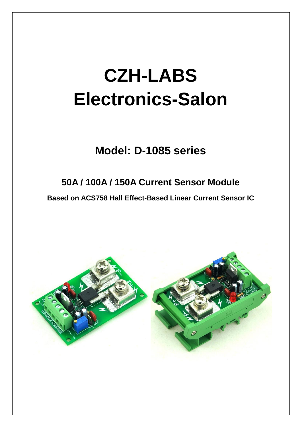# **CZH-LABS Electronics-Salon**

## **Model: D-1085 series**

## **50A / 100A / 150A Current Sensor Module**

**Based on ACS758 Hall Effect-Based Linear Current Sensor IC**

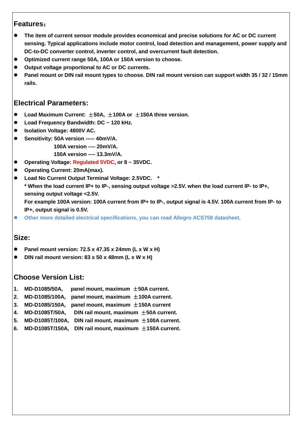#### **Features**:

- **The item of current sensor module provides economical and precise solutions for AC or DC current sensing. Typical applications include motor control, load detection and management, power supply and DC-to-DC converter control, inverter control, and overcurrent fault detection.**
- **Optimized current range 50A, 100A or 150A version to choose.**
- **Output voltage proportional to AC or DC currents.**
- **Panel mount or DIN rail mount types to choose. DIN rail mount version can support width 35 / 32 / 15mm rails.**

#### **Electrical Parameters:**

- **Load Maximum Current:** ±**50A,** ±**100A or** ±**150A three version.**
- **Load Frequency Bandwidth: DC ~ 120 kHz.**
- **Isolation Voltage: 4800V AC.**
- **Sensitivity: 50A version ----- 40mV/A.**
	- **100A version ---- 20mV/A.**
	- **150A version ---- 13.3mV/A.**
- **Operating Voltage: Regulated 5VDC, or 8 ~ 35VDC.**
- **Operating Current: 20mA(max).**
- **Load No Current Output Terminal Voltage: 2.5VDC. \* \* When the load current IP+ to IP-, sensing output voltage >2.5V. when the load current IP- to IP+, sensing output voltage <2.5V.**

**For example 100A version: 100A current from IP+ to IP-, output signal is 4.5V. 100A current from IP- to IP+, output signal is 0.5V.**

**Other more detailed electrical specifications, you can read Allegro ACS758 datasheet.**

#### **Size:**

- **Panel mount version: 72.5 x 47.35 x 24mm (L x W x H)**
- **DIN rail mount version: 83 x 50 x 48mm (L x W x H)**

#### **Choose Version List:**

- **1. MD-D1085/50A, panel mount, maximum** ±**50A current.**
- **2. MD-D1085/100A, panel mount, maximum** ±**100A current.**
- **3. MD-D1085/150A, panel mount, maximum** ±**150A current**
- **4. MD-D1085T/50A, DIN rail mount, maximum** ±**50A current.**
- **5. MD-D1085T/100A, DIN rail mount, maximum** ±**100A current.**
- **6. MD-D1085T/150A, DIN rail mount, maximum** ±**150A current.**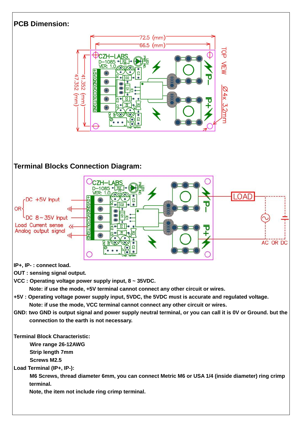#### **PCB Dimension:**



### **Terminal Blocks Connection Diagram:**



**IP+, IP- : connect load.**

**OUT : sensing signal output.**

**VCC : Operating voltage power supply input, 8 ~ 35VDC.** 

**Note: if use the mode, +5V terminal cannot connect any other circuit or wires.**

- **+5V : Operating voltage power supply input, 5VDC, the 5VDC must is accurate and regulated voltage. Note: if use the mode, VCC terminal cannot connect any other circuit or wires.**
- **GND: two GND is output signal and power supply neutral terminal, or you can call it is 0V or Ground. but the connection to the earth is not necessary.**

**Terminal Block Characteristic:**

 **Wire range 26-12AWG**

 **Strip length 7mm**

 **Screws M2.5**

**Load Terminal (IP+, IP-):**

 **M6 Screws, thread diameter 6mm, you can connect Metric M6 or USA 1/4 (inside diameter) ring crimp terminal.**

**Note, the item not include ring crimp terminal.**